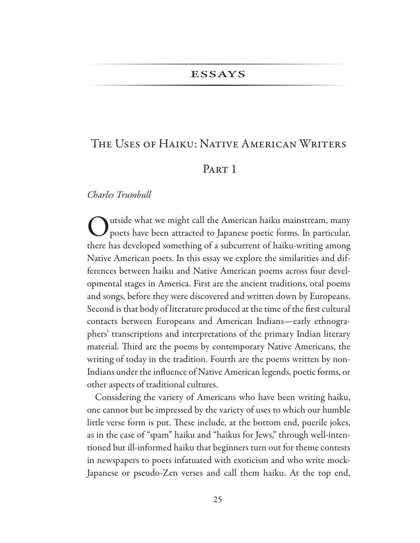## **ESSAYS**

# THE USES OF HAIKU: NATIVE AMERICAN WRITERS

# PART 1

Charles Trumbull

utside what we might call the American haiku mainstream, many poets have been attracted to Japanese poetic forms. In particular, there has developed something of a subcurrent of haiku-writing among Native American poets. In this essay we explore the similarities and differences between haiku and Native American poems across four developmental stages in America. First are the ancient traditions, oral poems and songs, before they were discovered and written down by Europeans. Second is that body of literature produced at the time of the first cultural contacts between Europeans and American Indians-early ethnographers' transcriptions and interpretations of the primary Indian literary material. Third are the poems by contemporary Native Americans, the writing of today in the tradition. Fourth are the poems written by non-Indians under the influence of Native American legends, poetic forms, or other aspects of traditional cultures.

Considering the variety of Americans who have been writing haiku, one cannot but be impressed by the variety of uses to which our humble little verse form is put. These include, at the bottom end, puerile jokes, as in the case of "spam" haiku and "haikus for Jews," through well-intentioned but ill-informed haiku that beginners turn out for theme contests in newspapers to poets infatuated with exoticism and who write mock-Japanese or pseudo-Zen verses and call them haiku. At the top end,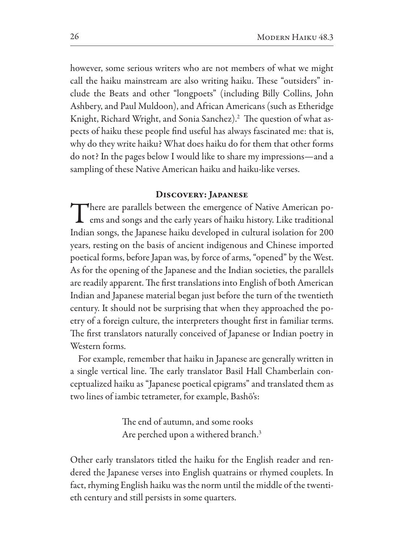however, some serious writers who are not members of what we might call the haiku mainstream are also writing haiku. These "outsiders" include the Beats and other "longpoets" (including Billy Collins, John Ashbery, and Paul Muldoon), and African Americans (such as Etheridge Knight, Richard Wright, and Sonia Sanchez).<sup>2</sup> The question of what aspects of haiku these people find useful has always fascinated me: that is, why do they write haiku? What does haiku do for them that other forms do not? In the pages below I would like to share my impressions—and a sampling of these Native American haiku and haiku-like verses.

### **DISCOVERY: JAPANESE**

There are parallels between the emergence of Native American po-**L** ems and songs and the early years of haiku history. Like traditional Indian songs, the Japanese haiku developed in cultural isolation for 200 years, resting on the basis of ancient indigenous and Chinese imported poetical forms, before Japan was, by force of arms, "opened" by the West. As for the opening of the Japanese and the Indian societies, the parallels are readily apparent. The first translations into English of both American Indian and Japanese material began just before the turn of the twentieth century. It should not be surprising that when they approached the poetry of a foreign culture, the interpreters thought first in familiar terms. The first translators naturally conceived of Japanese or Indian poetry in Western forms.

For example, remember that haiku in Japanese are generally written in a single vertical line. The early translator Basil Hall Chamberlain conceptualized haiku as "Japanese poetical epigrams" and translated them as two lines of iambic tetrameter, for example, Bashō's:

> The end of autumn, and some rooks Are perched upon a withered branch.<sup>3</sup>

Other early translators titled the haiku for the English reader and rendered the Japanese verses into English quatrains or rhymed couplets. In fact, rhyming English haiku was the norm until the middle of the twentieth century and still persists in some quarters.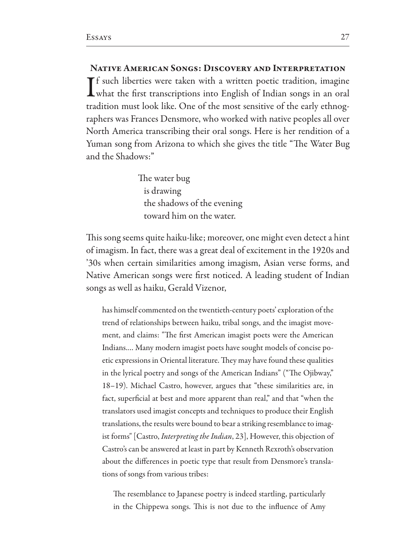**NATIVE AMERICAN SONGS: DISCOVERY AND INTERPRETATION**  $\mathbf T$  f such liberties were taken with a written poetic tradition, imagine I what the first transcriptions into English of Indian songs in an oral tradition must look like. One of the most sensitive of the early ethnographers was Frances Densmore, who worked with native peoples all over North America transcribing their oral songs. Here is her rendition of a Yuman song from Arizona to which she gives the title "The Water Bug and the Shadows:"

> The water bug is drawing the shadows of the evening toward him on the water.

This song seems quite haiku-like; moreover, one might even detect a hint of imagism. In fact, there was a great deal of excitement in the 1920s and '30s when certain similarities among imagism, Asian verse forms, and Native American songs were first noticed. A leading student of Indian songs as well as haiku, Gerald Vizenor,

has himself commented on the twentieth-century poets' exploration of the trend of relationships between haiku, tribal songs, and the imagist movement, and claims: "The first American imagist poets were the American Indians.... Many modern imagist poets have sought models of concise poetic expressions in Oriental literature. They may have found these qualities in the lyrical poetry and songs of the American Indians" ("The Ojibway," 18–19). Michael Castro, however, argues that "these similarities are, in fact, superficial at best and more apparent than real," and that "when the translators used imagist concepts and techniques to produce their English translations, the results were bound to bear a striking resemblance to imagist forms" [Castro, *Interpreting the Indian*, 23], However, this objection of Castro's can be answered at least in part by Kenneth Rexroth's observation about the differences in poetic type that result from Densmore's translations of songs from various tribes:

The resemblance to Japanese poetry is indeed startling, particularly in the Chippewa songs. This is not due to the influence of Amy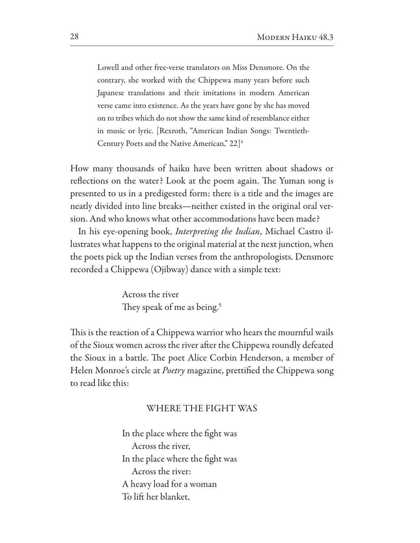Lowell and other free-verse translators on Miss Densmore. On the contrary, she worked with the Chippewa many years before such Japanese translations and their imitations in modern American verse came into existence. As the years have gone by she has moved on to tribes which do not show the same kind of resemblance either in music or lyric. [Rexroth, "American Indian Songs: Twentieth-Century Poets and the Native American," 22<sup>4</sup>

How many thousands of haiku have been written about shadows or reflections on the water? Look at the poem again. The Yuman song is presented to us in a predigested form: there is a title and the images are neatly divided into line breaks—neither existed in the original oral version. And who knows what other accommodations have been made?

In his eye-opening book, Interpreting the Indian, Michael Castro illustrates what happens to the original material at the next junction, when the poets pick up the Indian verses from the anthropologists. Densmore recorded a Chippewa (Ojibway) dance with a simple text:

> Across the river They speak of me as being.<sup>5</sup>

This is the reaction of a Chippewa warrior who hears the mournful wails of the Sioux women across the river after the Chippewa roundly defeated the Sioux in a battle. The poet Alice Corbin Henderson, a member of Helen Monroe's circle at Poetry magazine, prettified the Chippewa song to read like this:

# WHERE THE FIGHT WAS

In the place where the fight was Across the river. In the place where the fight was Across the river: A heavy load for a woman To lift her blanket,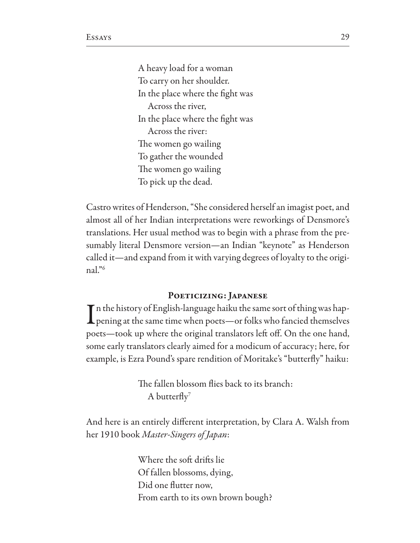A heavy load for a woman To carry on her shoulder. In the place where the fight was Across the river. In the place where the fight was Across the river: The women go wailing To gather the wounded The women go wailing To pick up the dead.

Castro writes of Henderson, "She considered herself an imagist poet, and almost all of her Indian interpretations were reworkings of Densmore's translations. Her usual method was to begin with a phrase from the presumably literal Densmore version-an Indian "keynote" as Henderson called it—and expand from it with varying degrees of loyalty to the origi $nal.^{96}$ 

### POETICIZING: JAPANESE

T n the history of English-language haiku the same sort of thing was hap-**L** pening at the same time when poets—or folks who fancied themselves poets—took up where the original translators left off. On the one hand, some early translators clearly aimed for a modicum of accuracy; here, for example, is Ezra Pound's spare rendition of Moritake's "butterfly" haiku:

> The fallen blossom flies back to its branch: A butterfly<sup>7</sup>

And here is an entirely different interpretation, by Clara A. Walsh from her 1910 book *Master-Singers of Japan*:

> Where the soft drifts lie Of fallen blossoms, dying, Did one flutter now, From earth to its own brown bough?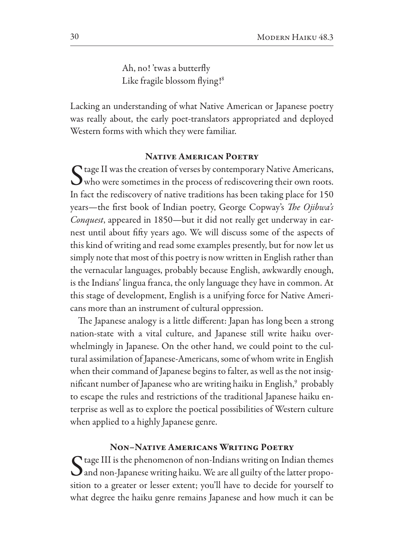Ah, no! 'twas a butterfly Like fragile blossom flying!<sup>8</sup>

Lacking an understanding of what Native American or Japanese poetry was really about, the early poet-translators appropriated and deployed Western forms with which they were familiar.

#### **NATIVE AMERICAN POETRY**

C tage II was the creation of verses by contemporary Native Americans,  $\sum$  who were sometimes in the process of rediscovering their own roots. In fact the rediscovery of native traditions has been taking place for 150 years—the first book of Indian poetry, George Copway's The Ojibwa's *Conquest*, appeared in 1850—but it did not really get underway in earnest until about fifty years ago. We will discuss some of the aspects of this kind of writing and read some examples presently, but for now let us simply note that most of this poetry is now written in English rather than the vernacular languages, probably because English, awkwardly enough, is the Indians' lingua franca, the only language they have in common. At this stage of development, English is a unifying force for Native Americans more than an instrument of cultural oppression.

The Japanese analogy is a little different: Japan has long been a strong nation-state with a vital culture, and Japanese still write haiku overwhelmingly in Japanese. On the other hand, we could point to the cultural assimilation of Japanese-Americans, some of whom write in English when their command of Japanese begins to falter, as well as the not insignificant number of Japanese who are writing haiku in English,<sup>9</sup> probably to escape the rules and restrictions of the traditional Japanese haiku enterprise as well as to explore the poetical possibilities of Western culture when applied to a highly Japanese genre.

### **NON-NATIVE AMERICANS WRITING POETRY**

C tage III is the phenomenon of non-Indians writing on Indian themes  $\bigcup$  and non-Japanese writing haiku. We are all guilty of the latter proposition to a greater or lesser extent; you'll have to decide for yourself to what degree the haiku genre remains Japanese and how much it can be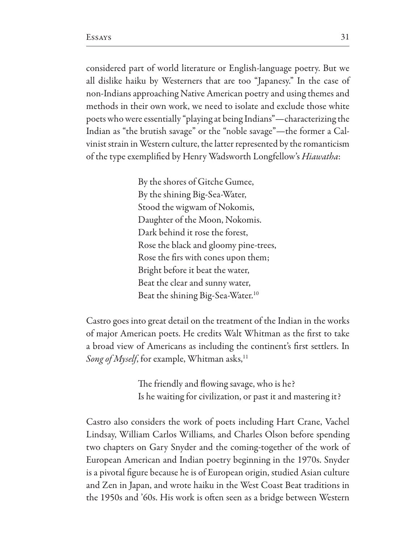considered part of world literature or English-language poetry. But we all dislike haiku by Westerners that are too "Japanesy." In the case of non-Indians approaching Native American poetry and using themes and methods in their own work, we need to isolate and exclude those white poets who were essentially "playing at being Indians"—characterizing the Indian as "the brutish savage" or the "noble savage"-the former a Calvinist strain in Western culture, the latter represented by the romanticism of the type exemplified by Henry Wadsworth Longfellow's Hiawatha:

> By the shores of Gitche Gumee, By the shining Big-Sea-Water, Stood the wigwam of Nokomis, Daughter of the Moon, Nokomis. Dark behind it rose the forest, Rose the black and gloomy pine-trees, Rose the firs with cones upon them; Bright before it beat the water, Beat the clear and sunny water, Beat the shining Big-Sea-Water.<sup>10</sup>

Castro goes into great detail on the treatment of the Indian in the works of major American poets. He credits Walt Whitman as the first to take a broad view of Americans as including the continent's first settlers. In Song of Myself, for example, Whitman asks,<sup>11</sup>

> The friendly and flowing savage, who is he? Is he waiting for civilization, or past it and mastering it?

Castro also considers the work of poets including Hart Crane, Vachel Lindsay, William Carlos Williams, and Charles Olson before spending two chapters on Gary Snyder and the coming-together of the work of European American and Indian poetry beginning in the 1970s. Snyder is a pivotal figure because he is of European origin, studied Asian culture and Zen in Japan, and wrote haiku in the West Coast Beat traditions in the 1950s and '60s. His work is often seen as a bridge between Western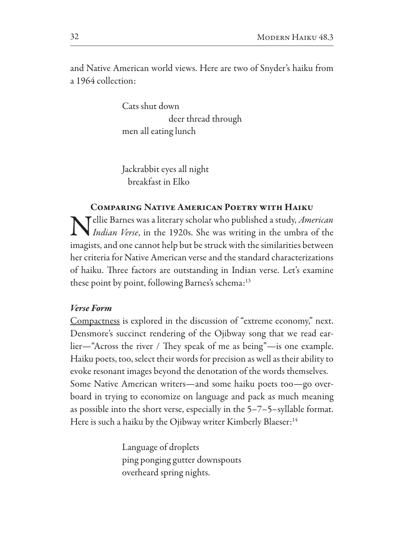and Native American world views. Here are two of Snyder's haiku from a 1964 collection:

> Cats shut down deer thread through men all eating lunch

Jackrabbit eyes all night breakfast in Elko

## **COMPARING NATIVE AMERICAN POETRY WITH HAIKU**

Tellie Barnes was a literary scholar who published a study, American Indian Verse, in the 1920s. She was writing in the umbra of the imagists, and one cannot help but be struck with the similarities between her criteria for Native American verse and the standard characterizations of haiku. Three factors are outstanding in Indian verse. Let's examine these point by point, following Barnes's schema:<sup>13</sup>

## **Verse Form**

Compactness is explored in the discussion of "extreme economy," next. Densmore's succinct rendering of the Ojibway song that we read earlier—"Across the river / They speak of me as being"—is one example. Haiku poets, too, select their words for precision as well as their ability to evoke resonant images beyond the denotation of the words themselves. Some Native American writers—and some haiku poets too—go overboard in trying to economize on language and pack as much meaning as possible into the short verse, especially in the  $5-7-5$ -syllable format. Here is such a haiku by the Ojibway writer Kimberly Blaeser:<sup>14</sup>

> Language of droplets ping ponging gutter downspouts overheard spring nights.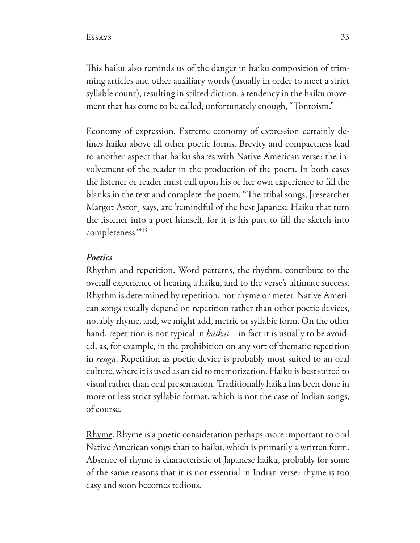This haiku also reminds us of the danger in haiku composition of trimming articles and other auxiliary words (usually in order to meet a strict syllable count), resulting in stilted diction, a tendency in the haiku movement that has come to be called, unfortunately enough, "Tontoism."

Economy of expression. Extreme economy of expression certainly defines haiku above all other poetic forms. Brevity and compactness lead to another aspect that haiku shares with Native American verse: the involvement of the reader in the production of the poem. In both cases the listener or reader must call upon his or her own experience to fill the blanks in the text and complete the poem. "The tribal songs, [researcher Margot Astor] says, are 'remindful of the best Japanese Haiku that turn the listener into a poet himself, for it is his part to fill the sketch into completeness."15

#### **Poetics**

Rhythm and repetition. Word patterns, the rhythm, contribute to the overall experience of hearing a haiku, and to the verse's ultimate success. Rhythm is determined by repetition, not rhyme or meter. Native American songs usually depend on repetition rather than other poetic devices, notably rhyme, and, we might add, metric or syllabic form. On the other hand, repetition is not typical in *haikai*—in fact it is usually to be avoided, as, for example, in the prohibition on any sort of thematic repetition in renga. Repetition as poetic device is probably most suited to an oral culture, where it is used as an aid to memorization. Haiku is best suited to visual rather than oral presentation. Traditionally haiku has been done in more or less strict syllabic format, which is not the case of Indian songs, of course.

<u>Rhyme</u>. Rhyme is a poetic consideration perhaps more important to oral Native American songs than to haiku, which is primarily a written form. Absence of rhyme is characteristic of Japanese haiku, probably for some of the same reasons that it is not essential in Indian verse: rhyme is too easy and soon becomes tedious.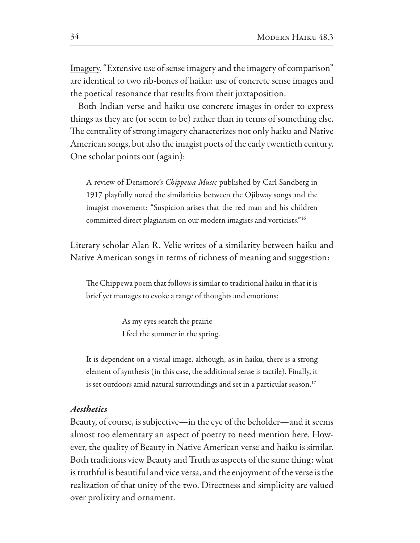Imagery. "Extensive use of sense imagery and the imagery of comparison" are identical to two rib-bones of haiku: use of concrete sense images and the poetical resonance that results from their juxtaposition.

Both Indian verse and haiku use concrete images in order to express things as they are (or seem to be) rather than in terms of something else. The centrality of strong imagery characterizes not only haiku and Native American songs, but also the imagist poets of the early twentieth century. One scholar points out (again):

A review of Densmore's Chippewa Music published by Carl Sandberg in 1917 playfully noted the similarities between the Ojibway songs and the imagist movement: "Suspicion arises that the red man and his children committed direct plagiarism on our modern imagists and vorticists."<sup>16</sup>

Literary scholar Alan R. Velie writes of a similarity between haiku and Native American songs in terms of richness of meaning and suggestion:

The Chippewa poem that follows is similar to traditional haiku in that it is brief yet manages to evoke a range of thoughts and emotions:

> As my eyes search the prairie I feel the summer in the spring.

It is dependent on a visual image, although, as in haiku, there is a strong element of synthesis (in this case, the additional sense is tactile). Finally, it is set outdoors amid natural surroundings and set in a particular season.<sup>17</sup>

## **Aesthetics**

<u>Beauty</u>, of course, is subjective—in the eye of the beholder—and it seems almost too elementary an aspect of poetry to need mention here. However, the quality of Beauty in Native American verse and haiku is similar. Both traditions view Beauty and Truth as aspects of the same thing: what is truthful is beautiful and vice versa, and the enjoyment of the verse is the realization of that unity of the two. Directness and simplicity are valued over prolixity and ornament.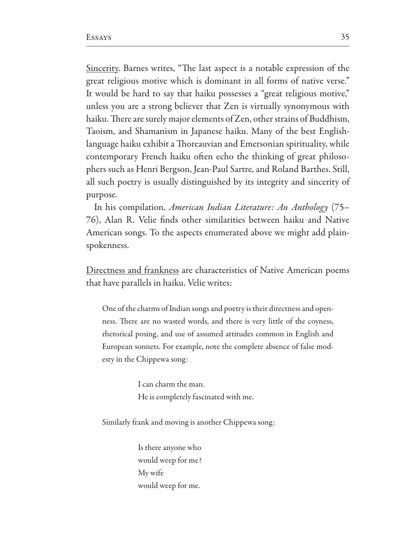Sincerity. Barnes writes, "The last aspect is a notable expression of the great religious motive which is dominant in all forms of native verse." It would be hard to say that haiku possesses a "great religious motive," unless you are a strong believer that Zen is virtually synonymous with haiku. There are surely major elements of Zen, other strains of Buddhism, Taoism, and Shamanism in Japanese haiku. Many of the best Englishlanguage haiku exhibit a Thoreauvian and Emersonian spirituality, while contemporary French haiku often echo the thinking of great philosophers such as Henri Bergson, Jean-Paul Sartre, and Roland Barthes. Still, all such poetry is usually distinguished by its integrity and sincerity of purpose.

In his compilation, American Indian Literature: An Anthology  $(75-$ 76), Alan R. Velie finds other similarities between haiku and Native American songs. To the aspects enumerated above we might add plainspokenness.

Directness and frankness are characteristics of Native American poems that have parallels in haiku. Velie writes:

One of the charms of Indian songs and poetry is their directness and openness. There are no wasted words, and there is very little of the coyness, rhetorical posing, and use of assumed attitudes common in English and European sonnets. For example, note the complete absence of false modesty in the Chippewa song:

> I can charm the man. He is completely fascinated with me.

Similarly frank and moving is another Chippewa song:

Is there anyone who would weep for me? My wife would weep for me.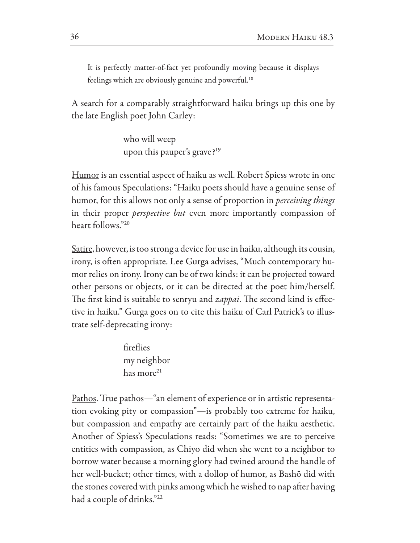It is perfectly matter-of-fact yet profoundly moving because it displays feelings which are obviously genuine and powerful.<sup>18</sup>

A search for a comparably straightforward haiku brings up this one by the late English poet John Carley:

> who will weep upon this pauper's grave?<sup>19</sup>

<u>Humor</u> is an essential aspect of haiku as well. Robert Spiess wrote in one of his famous Speculations: "Haiku poets should have a genuine sense of humor, for this allows not only a sense of proportion in *perceiving things* in their proper *perspective but* even more importantly compassion of heart follows."20

<u>Satire</u>, however, is too strong a device for use in haiku, although its cousin, irony, is often appropriate. Lee Gurga advises, "Much contemporary humor relies on irony. Irony can be of two kinds: it can be projected toward other persons or objects, or it can be directed at the poet him/herself. The first kind is suitable to senryu and *zappai*. The second kind is effective in haiku." Gurga goes on to cite this haiku of Carl Patrick's to illustrate self-deprecating irony:

> fireflies my neighbor has more<sup>21</sup>

Pathos. True pathos-"an element of experience or in artistic representation evoking pity or compassion"—is probably too extreme for haiku, but compassion and empathy are certainly part of the haiku aesthetic. Another of Spiess's Speculations reads: "Sometimes we are to perceive entities with compassion, as Chiyo did when she went to a neighbor to borrow water because a morning glory had twined around the handle of her well-bucket; other times, with a dollop of humor, as Bashō did with the stones covered with pinks among which he wished to nap after having had a couple of drinks."22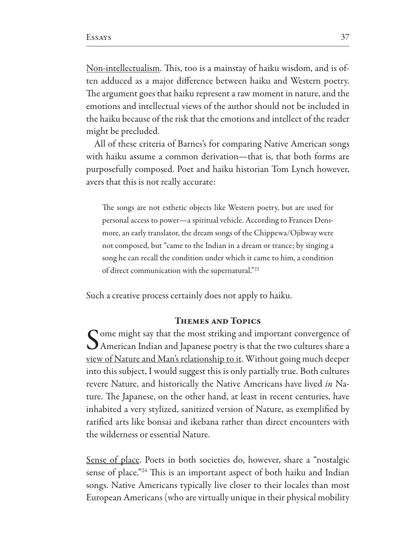Non-intellectualism. This, too is a mainstay of haiku wisdom, and is often adduced as a major difference between haiku and Western poetry. The argument goes that haiku represent a raw moment in nature, and the emotions and intellectual views of the author should not be included in the haiku because of the risk that the emotions and intellect of the reader might be precluded.

All of these criteria of Barnes's for comparing Native American songs with haiku assume a common derivation—that is, that both forms are purposefully composed. Poet and haiku historian Tom Lynch however, avers that this is not really accurate:

The songs are not esthetic objects like Western poetry, but are used for personal access to power—a spiritual vehicle. According to Frances Densmore, an early translator, the dream songs of the Chippewa/Ojibway were not composed, but "came to the Indian in a dream or trance; by singing a song he can recall the condition under which it came to him, a condition of direct communication with the supernatural."23

Such a creative process certainly does not apply to haiku.

#### **THEMES AND TOPICS**

Come might say that the most striking and important convergence of  $\bigcup$  American Indian and Japanese poetry is that the two cultures share a view of Nature and Man's relationship to it. Without going much deeper into this subject, I would suggest this is only partially true. Both cultures revere Nature, and historically the Native Americans have lived in Nature. The Japanese, on the other hand, at least in recent centuries, have inhabited a very stylized, sanitized version of Nature, as exemplified by rarified arts like bonsai and ikebana rather than direct encounters with the wilderness or essential Nature.

Sense of place. Poets in both societies do, however, share a "nostalgic sense of place."<sup>24</sup> This is an important aspect of both haiku and Indian songs. Native Americans typically live closer to their locales than most European Americans (who are virtually unique in their physical mobility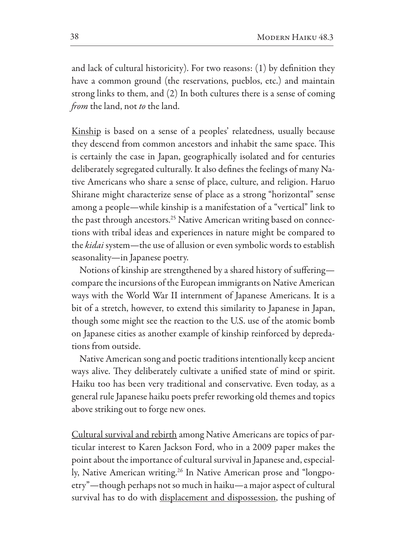and lack of cultural historicity). For two reasons: (1) by definition they have a common ground (the reservations, pueblos, etc.) and maintain strong links to them, and (2) In both cultures there is a sense of coming *from* the land, not to the land.

Kinship is based on a sense of a peoples' relatedness, usually because they descend from common ancestors and inhabit the same space. This is certainly the case in Japan, geographically isolated and for centuries deliberately segregated culturally. It also defines the feelings of many Native Americans who share a sense of place, culture, and religion. Haruo Shirane might characterize sense of place as a strong "horizontal" sense among a people—while kinship is a manifestation of a "vertical" link to the past through ancestors.<sup>25</sup> Native American writing based on connections with tribal ideas and experiences in nature might be compared to the kidai system—the use of allusion or even symbolic words to establish seasonality—in Japanese poetry.

Notions of kinship are strengthened by a shared history of sufferingcompare the incursions of the European immigrants on Native American ways with the World War II internment of Japanese Americans. It is a bit of a stretch, however, to extend this similarity to Japanese in Japan, though some might see the reaction to the U.S. use of the atomic bomb on Japanese cities as another example of kinship reinforced by depredations from outside.

Native American song and poetic traditions intentionally keep ancient ways alive. They deliberately cultivate a unified state of mind or spirit. Haiku too has been very traditional and conservative. Even today, as a general rule Japanese haiku poets prefer reworking old themes and topics above striking out to forge new ones.

Cultural survival and rebirth among Native Americans are topics of particular interest to Karen Jackson Ford, who in a 2009 paper makes the point about the importance of cultural survival in Japanese and, especially, Native American writing.<sup>26</sup> In Native American prose and "longpoetry"—though perhaps not so much in haiku—a major aspect of cultural survival has to do with displacement and dispossession, the pushing of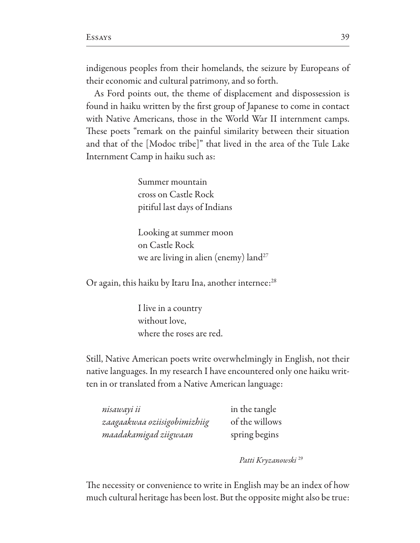indigenous peoples from their homelands, the seizure by Europeans of their economic and cultural patrimony, and so forth.

As Ford points out, the theme of displacement and dispossession is found in haiku written by the first group of Japanese to come in contact with Native Americans, those in the World War II internment camps. These poets "remark on the painful similarity between their situation and that of the [Modoc tribe]" that lived in the area of the Tule Lake Internment Camp in haiku such as:

> Summer mountain cross on Castle Rock pitiful last days of Indians

Looking at summer moon on Castle Rock we are living in alien (enemy) land<sup>27</sup>

Or again, this haiku by Itaru Ina, another internee:<sup>28</sup>

I live in a country without love, where the roses are red.

Still, Native American poets write overwhelmingly in English, not their native languages. In my research I have encountered only one haiku written in or translated from a Native American language:

| nisawayi ii                  | in the tangle  |
|------------------------------|----------------|
| zaagaakwaa oziisigobimizhiig | of the willows |
| maadakamigad ziigwaan        | spring begins  |

Patti Kryzanowski<sup>29</sup>

The necessity or convenience to write in English may be an index of how much cultural heritage has been lost. But the opposite might also be true: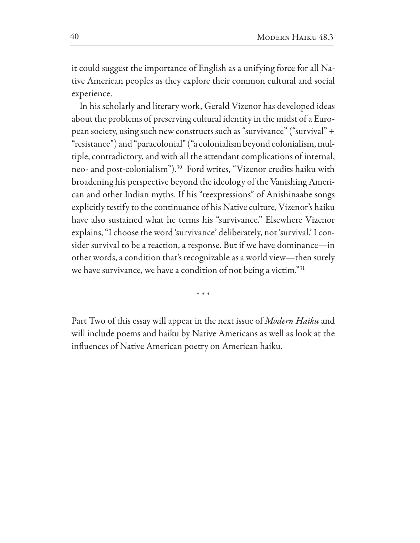it could suggest the importance of English as a unifying force for all Native American peoples as they explore their common cultural and social experience.

In his scholarly and literary work, Gerald Vizenor has developed ideas about the problems of preserving cultural identity in the midst of a European society, using such new constructs such as "survivance" ("survival" + "resistance") and "paracolonial" ("a colonialism beyond colonialism, multiple, contradictory, and with all the attendant complications of internal, neo- and post-colonialism").<sup>30</sup> Ford writes, "Vizenor credits haiku with broadening his perspective beyond the ideology of the Vanishing American and other Indian myths. If his "reexpressions" of Anishinaabe songs explicitly testify to the continuance of his Native culture, Vizenor's haiku have also sustained what he terms his "survivance." Elsewhere Vizenor explains, "I choose the word 'survivance' deliberately, not 'survival.' I consider survival to be a reaction, a response. But if we have dominance-in other words, a condition that's recognizable as a world view-then surely we have survivance, we have a condition of not being a victim."31

 $***$ 

Part Two of this essay will appear in the next issue of Modern Haiku and will include poems and haiku by Native Americans as well as look at the influences of Native American poetry on American haiku.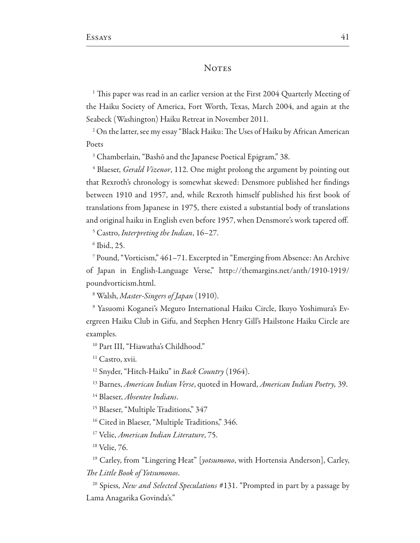## **NOTES**

<sup>1</sup> This paper was read in an earlier version at the First 2004 Quarterly Meeting of the Haiku Society of America, Fort Worth, Texas, March 2004, and again at the Seabeck (Washington) Haiku Retreat in November 2011.

<sup>2</sup> On the latter, see my essay "Black Haiku: The Uses of Haiku by African American Poets

<sup>3</sup> Chamberlain, "Bashō and the Japanese Poetical Epigram," 38.

<sup>4</sup> Blaeser, Gerald Vizenor, 112. One might prolong the argument by pointing out that Rexroth's chronology is somewhat skewed: Densmore published her findings between 1910 and 1957, and, while Rexroth himself published his first book of translations from Japanese in 1975, there existed a substantial body of translations and original haiku in English even before 1957, when Densmore's work tapered off.

<sup>5</sup> Castro, Interpreting the Indian, 16-27.

 $6$  Ibid., 25.

<sup>7</sup> Pound, "Vorticism," 461-71. Excerpted in "Emerging from Absence: An Archive of Japan in English-Language Verse," http://themargins.net/anth/1910-1919/ poundvorticism.html.

<sup>8</sup> Walsh, Master-Singers of Japan (1910).

<sup>9</sup> Yasuomi Koganei's Meguro International Haiku Circle, Ikuyo Yoshimura's Evergreen Haiku Club in Gifu, and Stephen Henry Gill's Hailstone Haiku Circle are examples.

<sup>10</sup> Part III, "Hiawatha's Childhood."

<sup>11</sup> Castro, xvii.

<sup>12</sup> Snyder, "Hitch-Haiku" in Back Country (1964).

<sup>13</sup> Barnes, American Indian Verse, quoted in Howard, American Indian Poetry, 39.

<sup>14</sup> Blaeser, *Absentee Indians*.

<sup>15</sup> Blaeser, "Multiple Traditions," 347

<sup>16</sup> Cited in Blaeser, "Multiple Traditions," 346.

<sup>17</sup> Velie, American Indian Literature, 75.

<sup>18</sup> Velie, 76.

<sup>19</sup> Carley, from "Lingering Heat" [yotsumono, with Hortensia Anderson], Carley, The Little Book of Yotsumonos.

<sup>20</sup> Spiess, *New and Selected Speculations* #131. "Prompted in part by a passage by Lama Anagarika Govinda's."